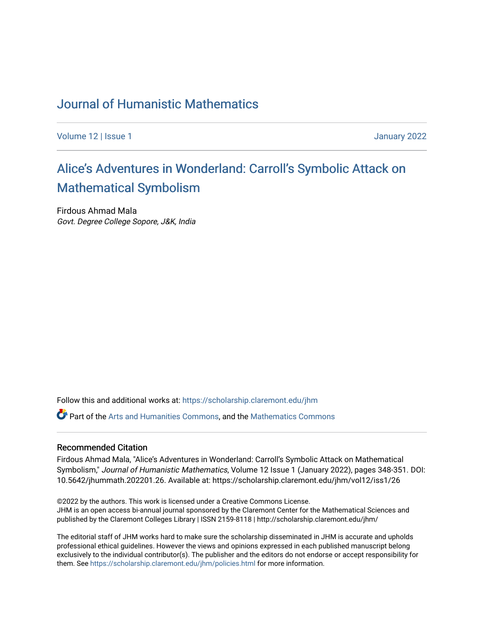### [Journal of Humanistic Mathematics](https://scholarship.claremont.edu/jhm)

[Volume 12](https://scholarship.claremont.edu/jhm/vol12) | Issue 1 January 2022

# Alice's Adventures in W[onderland: Carroll's Symbolic A](https://scholarship.claremont.edu/jhm/vol12/iss1/26)ttack on [Mathematical Symbolism](https://scholarship.claremont.edu/jhm/vol12/iss1/26)

Firdous Ahmad Mala Govt. Degree College Sopore, J&K, India

Follow this and additional works at: [https://scholarship.claremont.edu/jhm](https://scholarship.claremont.edu/jhm?utm_source=scholarship.claremont.edu%2Fjhm%2Fvol12%2Fiss1%2F26&utm_medium=PDF&utm_campaign=PDFCoverPages)

**P** Part of the [Arts and Humanities Commons,](http://network.bepress.com/hgg/discipline/438?utm_source=scholarship.claremont.edu%2Fjhm%2Fvol12%2Fiss1%2F26&utm_medium=PDF&utm_campaign=PDFCoverPages) and the Mathematics Commons

#### Recommended Citation

Firdous Ahmad Mala, "Alice's Adventures in Wonderland: Carroll's Symbolic Attack on Mathematical Symbolism," Journal of Humanistic Mathematics, Volume 12 Issue 1 (January 2022), pages 348-351. DOI: 10.5642/jhummath.202201.26. Available at: https://scholarship.claremont.edu/jhm/vol12/iss1/26

©2022 by the authors. This work is licensed under a Creative Commons License. JHM is an open access bi-annual journal sponsored by the Claremont Center for the Mathematical Sciences and published by the Claremont Colleges Library | ISSN 2159-8118 | http://scholarship.claremont.edu/jhm/

The editorial staff of JHM works hard to make sure the scholarship disseminated in JHM is accurate and upholds professional ethical guidelines. However the views and opinions expressed in each published manuscript belong exclusively to the individual contributor(s). The publisher and the editors do not endorse or accept responsibility for them. See<https://scholarship.claremont.edu/jhm/policies.html> for more information.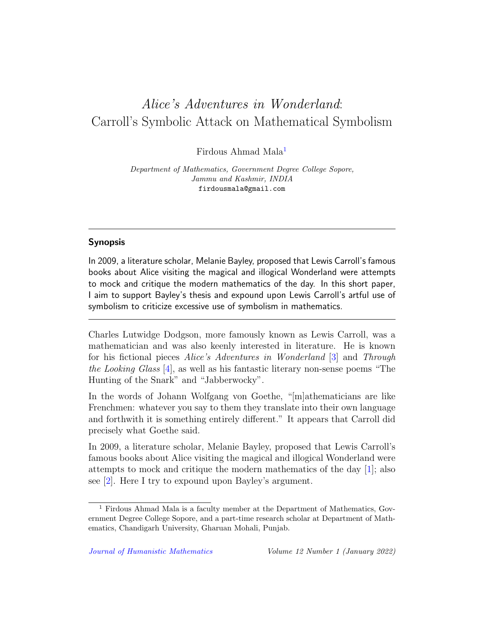## Alice's Adventures in Wonderland: Carroll's Symbolic Attack on Mathematical Symbolism

Firdous Ahmad Mala<sup>[1](#page-1-0)</sup>

Department of Mathematics, Government Degree College Sopore, Jammu and Kashmir, INDIA firdousmala@gmail.com

### Synopsis

In 2009, a literature scholar, Melanie Bayley, proposed that Lewis Carroll's famous books about Alice visiting the magical and illogical Wonderland were attempts to mock and critique the modern mathematics of the day. In this short paper, I aim to support Bayley's thesis and expound upon Lewis Carroll's artful use of symbolism to criticize excessive use of symbolism in mathematics.

Charles Lutwidge Dodgson, more famously known as Lewis Carroll, was a mathematician and was also keenly interested in literature. He is known for his fictional pieces Alice's Adventures in Wonderland [\[3\]](#page-4-0) and Through the Looking Glass [\[4\]](#page-4-1), as well as his fantastic literary non-sense poems "The Hunting of the Snark" and "Jabberwocky".

In the words of Johann Wolfgang von Goethe, "[m]athematicians are like Frenchmen: whatever you say to them they translate into their own language and forthwith it is something entirely different." It appears that Carroll did precisely what Goethe said.

In 2009, a literature scholar, Melanie Bayley, proposed that Lewis Carroll's famous books about Alice visiting the magical and illogical Wonderland were attempts to mock and critique the modern mathematics of the day [\[1\]](#page-4-2); also see [\[2\]](#page-4-3). Here I try to expound upon Bayley's argument.

<span id="page-1-0"></span><sup>&</sup>lt;sup>1</sup> Firdous Ahmad Mala is a faculty member at the Department of Mathematics, Government Degree College Sopore, and a part-time research scholar at Department of Mathematics, Chandigarh University, Gharuan Mohali, Punjab.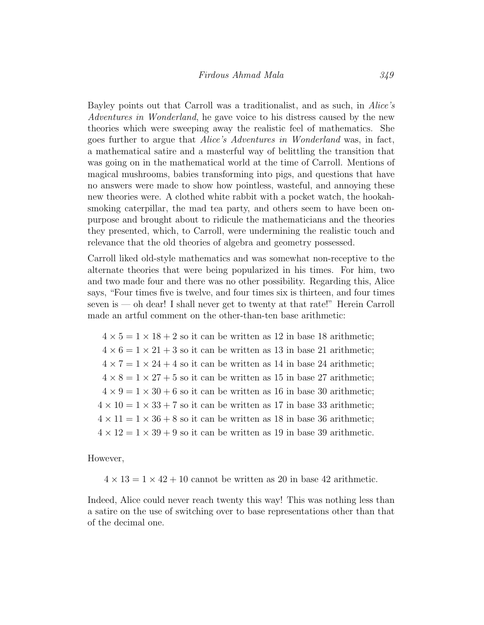Bayley points out that Carroll was a traditionalist, and as such, in Alice's Adventures in Wonderland, he gave voice to his distress caused by the new theories which were sweeping away the realistic feel of mathematics. She goes further to argue that Alice's Adventures in Wonderland was, in fact, a mathematical satire and a masterful way of belittling the transition that was going on in the mathematical world at the time of Carroll. Mentions of magical mushrooms, babies transforming into pigs, and questions that have no answers were made to show how pointless, wasteful, and annoying these new theories were. A clothed white rabbit with a pocket watch, the hookahsmoking caterpillar, the mad tea party, and others seem to have been onpurpose and brought about to ridicule the mathematicians and the theories they presented, which, to Carroll, were undermining the realistic touch and relevance that the old theories of algebra and geometry possessed.

Carroll liked old-style mathematics and was somewhat non-receptive to the alternate theories that were being popularized in his times. For him, two and two made four and there was no other possibility. Regarding this, Alice says, "Four times five is twelve, and four times six is thirteen, and four times seven is — oh dear! I shall never get to twenty at that rate!" Herein Carroll made an artful comment on the other-than-ten base arithmetic:

 $4 \times 5 = 1 \times 18 + 2$  so it can be written as 12 in base 18 arithmetic;  $4 \times 6 = 1 \times 21 + 3$  so it can be written as 13 in base 21 arithmetic;  $4 \times 7 = 1 \times 24 + 4$  so it can be written as 14 in base 24 arithmetic;  $4 \times 8 = 1 \times 27 + 5$  so it can be written as 15 in base 27 arithmetic;  $4 \times 9 = 1 \times 30 + 6$  so it can be written as 16 in base 30 arithmetic;  $4 \times 10 = 1 \times 33 + 7$  so it can be written as 17 in base 33 arithmetic;  $4 \times 11 = 1 \times 36 + 8$  so it can be written as 18 in base 36 arithmetic;  $4 \times 12 = 1 \times 39 + 9$  so it can be written as 19 in base 39 arithmetic.

However,

 $4 \times 13 = 1 \times 42 + 10$  cannot be written as 20 in base 42 arithmetic.

Indeed, Alice could never reach twenty this way! This was nothing less than a satire on the use of switching over to base representations other than that of the decimal one.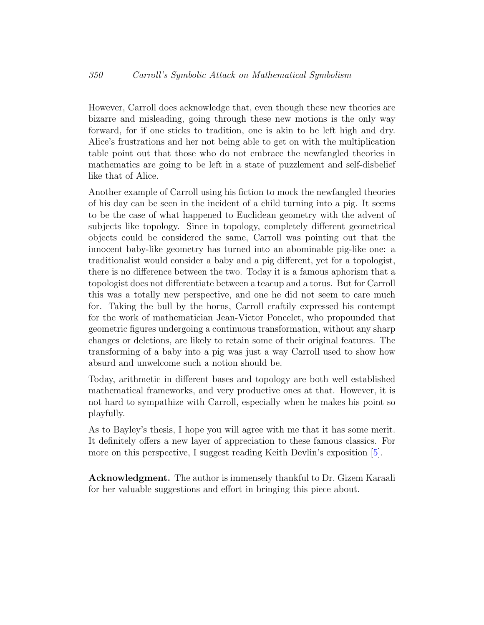However, Carroll does acknowledge that, even though these new theories are bizarre and misleading, going through these new motions is the only way forward, for if one sticks to tradition, one is akin to be left high and dry. Alice's frustrations and her not being able to get on with the multiplication table point out that those who do not embrace the newfangled theories in mathematics are going to be left in a state of puzzlement and self-disbelief like that of Alice.

Another example of Carroll using his fiction to mock the newfangled theories of his day can be seen in the incident of a child turning into a pig. It seems to be the case of what happened to Euclidean geometry with the advent of subjects like topology. Since in topology, completely different geometrical objects could be considered the same, Carroll was pointing out that the innocent baby-like geometry has turned into an abominable pig-like one: a traditionalist would consider a baby and a pig different, yet for a topologist, there is no difference between the two. Today it is a famous aphorism that a topologist does not differentiate between a teacup and a torus. But for Carroll this was a totally new perspective, and one he did not seem to care much for. Taking the bull by the horns, Carroll craftily expressed his contempt for the work of mathematician Jean-Victor Poncelet, who propounded that geometric figures undergoing a continuous transformation, without any sharp changes or deletions, are likely to retain some of their original features. The transforming of a baby into a pig was just a way Carroll used to show how absurd and unwelcome such a notion should be.

Today, arithmetic in different bases and topology are both well established mathematical frameworks, and very productive ones at that. However, it is not hard to sympathize with Carroll, especially when he makes his point so playfully.

As to Bayley's thesis, I hope you will agree with me that it has some merit. It definitely offers a new layer of appreciation to these famous classics. For more on this perspective, I suggest reading Keith Devlin's exposition [\[5\]](#page-4-4).

Acknowledgment. The author is immensely thankful to Dr. Gizem Karaali for her valuable suggestions and effort in bringing this piece about.